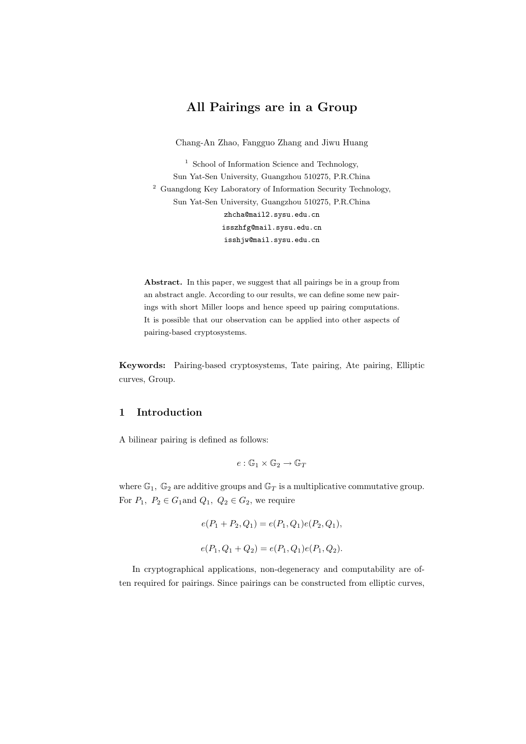# All Pairings are in a Group

Chang-An Zhao, Fangguo Zhang and Jiwu Huang

<sup>1</sup> School of Information Science and Technology, Sun Yat-Sen University, Guangzhou 510275, P.R.China  $^{\rm 2}$  Guangdong Key Laboratory of Information Security Technology, Sun Yat-Sen University, Guangzhou 510275, P.R.China zhcha@mail2.sysu.edu.cn isszhfg@mail.sysu.edu.cn isshjw@mail.sysu.edu.cn

Abstract. In this paper, we suggest that all pairings be in a group from an abstract angle. According to our results, we can define some new pairings with short Miller loops and hence speed up pairing computations. It is possible that our observation can be applied into other aspects of pairing-based cryptosystems.

Keywords: Pairing-based cryptosystems, Tate pairing, Ate pairing, Elliptic curves, Group.

# 1 Introduction

A bilinear pairing is defined as follows:

$$
e:\mathbb{G}_1\times\mathbb{G}_2\to\mathbb{G}_T
$$

where  $\mathbb{G}_1$ ,  $\mathbb{G}_2$  are additive groups and  $\mathbb{G}_T$  is a multiplicative commutative group. For  $P_1$ ,  $P_2 \in G_1$  and  $Q_1$ ,  $Q_2 \in G_2$ , we require

$$
e(P_1 + P_2, Q_1) = e(P_1, Q_1)e(P_2, Q_1),
$$
  

$$
e(P_1, Q_1 + Q_2) = e(P_1, Q_1)e(P_1, Q_2).
$$

In cryptographical applications, non-degeneracy and computability are often required for pairings. Since pairings can be constructed from elliptic curves,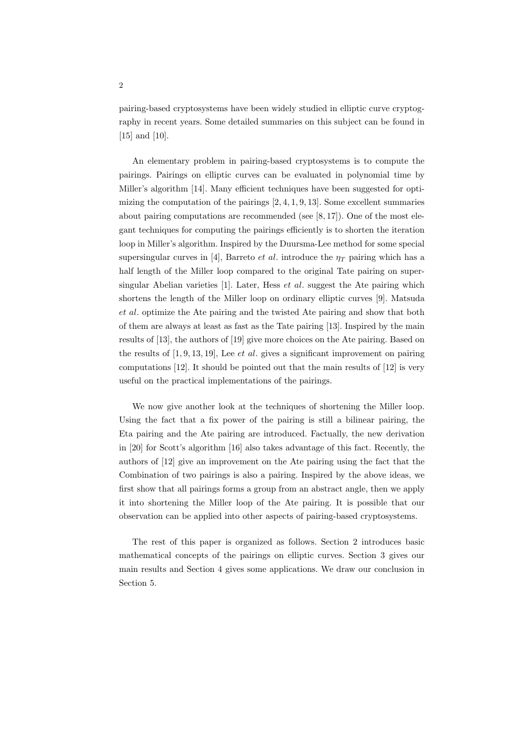pairing-based cryptosystems have been widely studied in elliptic curve cryptography in recent years. Some detailed summaries on this subject can be found in [15] and [10].

An elementary problem in pairing-based cryptosystems is to compute the pairings. Pairings on elliptic curves can be evaluated in polynomial time by Miller's algorithm [14]. Many efficient techniques have been suggested for optimizing the computation of the pairings [2, 4, 1, 9, 13]. Some excellent summaries about pairing computations are recommended (see [8, 17]). One of the most elegant techniques for computing the pairings efficiently is to shorten the iteration loop in Miller's algorithm. Inspired by the Duursma-Lee method for some special supersingular curves in [4], Barreto *et al.* introduce the  $\eta_T$  pairing which has a half length of the Miller loop compared to the original Tate pairing on supersingular Abelian varieties  $[1]$ . Later, Hess *et al.* suggest the Ate pairing which shortens the length of the Miller loop on ordinary elliptic curves [9]. Matsuda et al. optimize the Ate pairing and the twisted Ate pairing and show that both of them are always at least as fast as the Tate pairing [13]. Inspired by the main results of [13], the authors of [19] give more choices on the Ate pairing. Based on the results of  $[1, 9, 13, 19]$ , Lee *et al.* gives a significant improvement on pairing computations [12]. It should be pointed out that the main results of [12] is very useful on the practical implementations of the pairings.

We now give another look at the techniques of shortening the Miller loop. Using the fact that a fix power of the pairing is still a bilinear pairing, the Eta pairing and the Ate pairing are introduced. Factually, the new derivation in [20] for Scott's algorithm [16] also takes advantage of this fact. Recently, the authors of [12] give an improvement on the Ate pairing using the fact that the Combination of two pairings is also a pairing. Inspired by the above ideas, we first show that all pairings forms a group from an abstract angle, then we apply it into shortening the Miller loop of the Ate pairing. It is possible that our observation can be applied into other aspects of pairing-based cryptosystems.

The rest of this paper is organized as follows. Section 2 introduces basic mathematical concepts of the pairings on elliptic curves. Section 3 gives our main results and Section 4 gives some applications. We draw our conclusion in Section 5.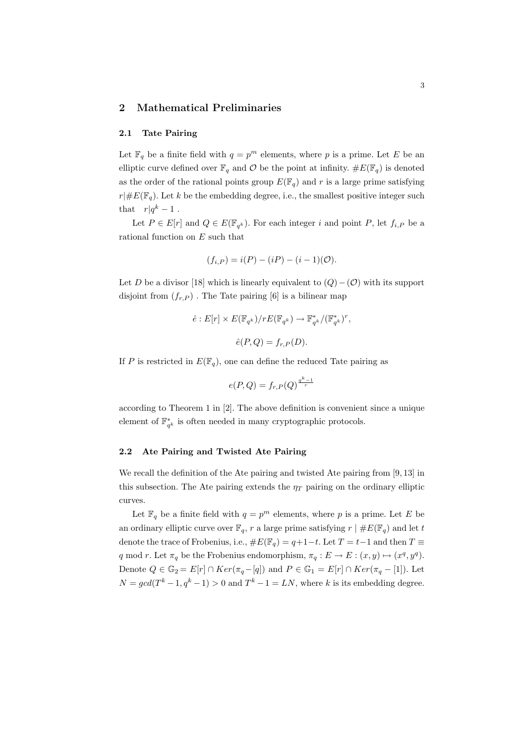#### 2 Mathematical Preliminaries

#### 2.1 Tate Pairing

Let  $\mathbb{F}_q$  be a finite field with  $q = p^m$  elements, where p is a prime. Let E be an elliptic curve defined over  $\mathbb{F}_q$  and  $\mathcal O$  be the point at infinity.  $\#E(\mathbb{F}_q)$  is denoted as the order of the rational points group  $E(\mathbb{F}_q)$  and r is a large prime satisfying  $r| \# E(\mathbb{F}_q)$ . Let k be the embedding degree, i.e., the smallest positive integer such that  $r|q^k-1$ .

Let  $P \in E[r]$  and  $Q \in E(\mathbb{F}_{q^k})$ . For each integer i and point P, let  $f_{i,P}$  be a rational function on E such that

$$
(f_{i,P}) = i(P) - (iP) - (i - 1)(O).
$$

Let D be a divisor [18] which is linearly equivalent to  $(Q) - (O)$  with its support disjoint from  $(f_{r,P})$ . The Tate pairing [6] is a bilinear map

$$
\hat{e}: E[r] \times E(\mathbb{F}_{q^k})/rE(\mathbb{F}_{q^k}) \to \mathbb{F}_{q^k}^*/(\mathbb{F}_{q^k}^*)^r,
$$
  

$$
\hat{e}(P,Q) = f_{r,P}(D).
$$

If P is restricted in  $E(\mathbb{F}_q)$ , one can define the reduced Tate pairing as

$$
e(P,Q) = f_{r,P}(Q)^{\frac{q^k-1}{r}}
$$

according to Theorem 1 in [2]. The above definition is convenient since a unique element of  $\mathbb{F}_{q^k}^*$  is often needed in many cryptographic protocols.

#### 2.2 Ate Pairing and Twisted Ate Pairing

We recall the definition of the Ate pairing and twisted Ate pairing from [9, 13] in this subsection. The Ate pairing extends the  $\eta_T$  pairing on the ordinary elliptic curves.

Let  $\mathbb{F}_q$  be a finite field with  $q = p^m$  elements, where p is a prime. Let E be an ordinary elliptic curve over  $\mathbb{F}_q$ , r a large prime satisfying  $r \mid \#E(\mathbb{F}_q)$  and let t denote the trace of Frobenius, i.e.,  $\#E(\mathbb{F}_q) = q+1-t$ . Let  $T = t-1$  and then  $T \equiv$ q mod r. Let  $\pi_q$  be the Frobenius endomorphism,  $\pi_q : E \to E : (x, y) \mapsto (x^q, y^q)$ . Denote  $Q \in \mathbb{G}_2 = E[r] \cap Ker(\pi_q - [q])$  and  $P \in \mathbb{G}_1 = E[r] \cap Ker(\pi_q - [1])$ . Let  $N = gcd(T^{k} - 1, q^{k} - 1) > 0$  and  $T^{k} - 1 = LN$ , where k is its embedding degree.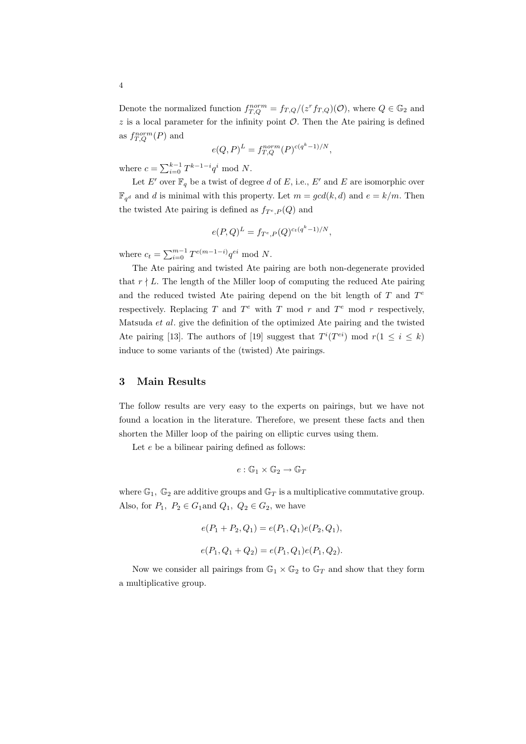Denote the normalized function  $f_{T,Q}^{norm} = f_{T,Q}/(z^r f_{T,Q})(\mathcal{O})$ , where  $Q \in \mathbb{G}_2$  and  $z$  is a local parameter for the infinity point  $\mathcal{O}$ . Then the Ate pairing is defined as  $f_{T,Q}^{norm}(P)$  and

$$
e(Q, P)^L = f_{T,Q}^{norm}(P)^{c(q^k - 1)/N},
$$

where  $c = \sum_{i=0}^{k-1} T^{k-1-i} q^i \text{ mod } N$ .

Let E' over  $\mathbb{F}_q$  be a twist of degree d of E, i.e., E' and E are isomorphic over  $\mathbb{F}_{q^d}$  and d is minimal with this property. Let  $m = gcd(k, d)$  and  $e = k/m$ . Then the twisted Ate pairing is defined as  $f_{T^e,P}(Q)$  and

$$
e(P,Q)^{L} = f_{T^e,P}(Q)^{c_t(q^k-1)/N},
$$

where  $c_t = \sum_{i=0}^{m-1} T^{e(m-1-i)} q^{ei} \mod N$ .

The Ate pairing and twisted Ate pairing are both non-degenerate provided that  $r \nmid L$ . The length of the Miller loop of computing the reduced Ate pairing and the reduced twisted Ate pairing depend on the bit length of  $T$  and  $T<sup>e</sup>$ respectively. Replacing T and  $T^e$  with T mod r and  $T^e$  mod r respectively, Matsuda et al. give the definition of the optimized Ate pairing and the twisted Ate pairing [13]. The authors of [19] suggest that  $T^{i}(T^{ei}) \mod r (1 \leq i \leq k)$ induce to some variants of the (twisted) Ate pairings.

#### 3 Main Results

The follow results are very easy to the experts on pairings, but we have not found a location in the literature. Therefore, we present these facts and then shorten the Miller loop of the pairing on elliptic curves using them.

Let  $e$  be a bilinear pairing defined as follows:

$$
e:\mathbb{G}_1\times\mathbb{G}_2\to\mathbb{G}_T
$$

where  $\mathbb{G}_1$ ,  $\mathbb{G}_2$  are additive groups and  $\mathbb{G}_T$  is a multiplicative commutative group. Also, for  $P_1$ ,  $P_2 \in G_1$  and  $Q_1$ ,  $Q_2 \in G_2$ , we have

$$
e(P_1 + P_2, Q_1) = e(P_1, Q_1)e(P_2, Q_1),
$$
  

$$
e(P_1, Q_1 + Q_2) = e(P_1, Q_1)e(P_1, Q_2).
$$

Now we consider all pairings from  $\mathbb{G}_1 \times \mathbb{G}_2$  to  $\mathbb{G}_T$  and show that they form a multiplicative group.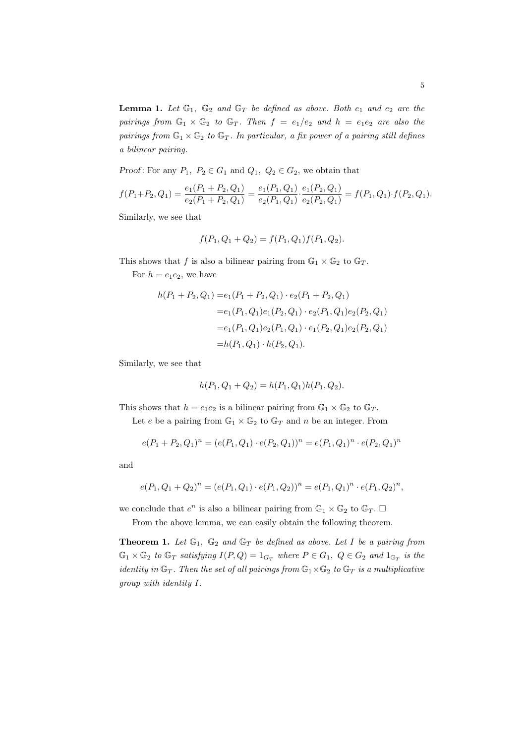**Lemma 1.** Let  $\mathbb{G}_1$ ,  $\mathbb{G}_2$  and  $\mathbb{G}_T$  be defined as above. Both  $e_1$  and  $e_2$  are the pairings from  $\mathbb{G}_1 \times \mathbb{G}_2$  to  $\mathbb{G}_T$ . Then  $f = e_1/e_2$  and  $h = e_1e_2$  are also the pairings from  $\mathbb{G}_1 \times \mathbb{G}_2$  to  $\mathbb{G}_T$ . In particular, a fix power of a pairing still defines a bilinear pairing.

Proof: For any  $P_1$ ,  $P_2 \in G_1$  and  $Q_1$ ,  $Q_2 \in G_2$ , we obtain that

$$
f(P_1+P_2,Q_1)=\frac{e_1(P_1+P_2,Q_1)}{e_2(P_1+P_2,Q_1)}=\frac{e_1(P_1,Q_1)}{e_2(P_1,Q_1)}\cdot\frac{e_1(P_2,Q_1)}{e_2(P_2,Q_1)}=f(P_1,Q_1)\cdot f(P_2,Q_1).
$$

Similarly, we see that

$$
f(P_1, Q_1 + Q_2) = f(P_1, Q_1) f(P_1, Q_2).
$$

This shows that f is also a bilinear pairing from  $\mathbb{G}_1 \times \mathbb{G}_2$  to  $\mathbb{G}_T$ .

For  $h = e_1e_2$ , we have

$$
h(P_1 + P_2, Q_1) = e_1(P_1 + P_2, Q_1) \cdot e_2(P_1 + P_2, Q_1)
$$
  
=  $e_1(P_1, Q_1)e_1(P_2, Q_1) \cdot e_2(P_1, Q_1)e_2(P_2, Q_1)$   
=  $e_1(P_1, Q_1)e_2(P_1, Q_1) \cdot e_1(P_2, Q_1)e_2(P_2, Q_1)$   
=  $h(P_1, Q_1) \cdot h(P_2, Q_1).$ 

Similarly, we see that

$$
h(P_1, Q_1 + Q_2) = h(P_1, Q_1)h(P_1, Q_2).
$$

This shows that  $h = e_1 e_2$  is a bilinear pairing from  $\mathbb{G}_1 \times \mathbb{G}_2$  to  $\mathbb{G}_T$ .

Let e be a pairing from  $\mathbb{G}_1 \times \mathbb{G}_2$  to  $\mathbb{G}_T$  and n be an integer. From

$$
e(P_1 + P_2, Q_1)^n = (e(P_1, Q_1) \cdot e(P_2, Q_1))^n = e(P_1, Q_1)^n \cdot e(P_2, Q_1)^n
$$

and

$$
e(P_1,Q_1+Q_2)^n=(e(P_1,Q_1)\cdot e(P_1,Q_2))^n=e(P_1,Q_1)^n\cdot e(P_1,Q_2)^n,
$$

we conclude that  $e^n$  is also a bilinear pairing from  $\mathbb{G}_1 \times \mathbb{G}_2$  to  $\mathbb{G}_T$ .  $\Box$ 

From the above lemma, we can easily obtain the following theorem.

**Theorem 1.** Let  $\mathbb{G}_1$ ,  $\mathbb{G}_2$  and  $\mathbb{G}_T$  be defined as above. Let I be a pairing from  $\mathbb{G}_1 \times \mathbb{G}_2$  to  $\mathbb{G}_T$  satisfying  $I(P,Q) = 1_{G_T}$  where  $P \in G_1$ ,  $Q \in G_2$  and  $1_{\mathbb{G}_T}$  is the identity in  $\mathbb{G}_T$ . Then the set of all pairings from  $\mathbb{G}_1 \times \mathbb{G}_2$  to  $\mathbb{G}_T$  is a multiplicative group with identity I.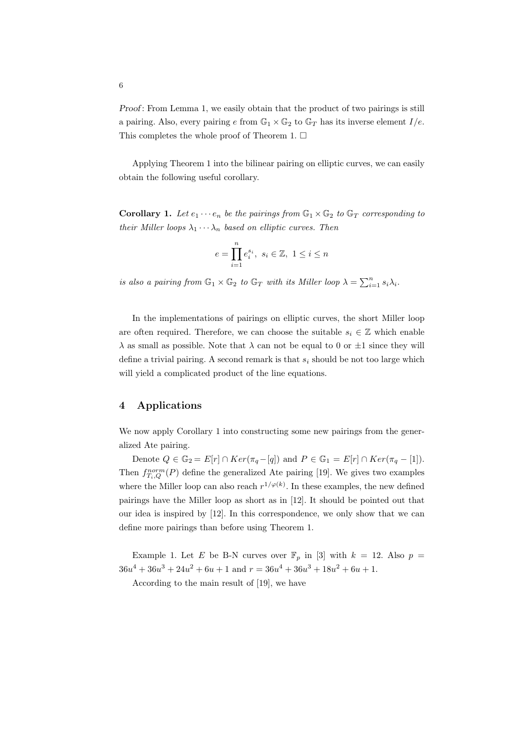Proof: From Lemma 1, we easily obtain that the product of two pairings is still a pairing. Also, every pairing e from  $\mathbb{G}_1 \times \mathbb{G}_2$  to  $\mathbb{G}_T$  has its inverse element  $I/e$ . This completes the whole proof of Theorem 1.  $\square$ 

Applying Theorem 1 into the bilinear pairing on elliptic curves, we can easily obtain the following useful corollary.

**Corollary 1.** Let  $e_1 \cdots e_n$  be the pairings from  $\mathbb{G}_1 \times \mathbb{G}_2$  to  $\mathbb{G}_T$  corresponding to their Miller loops  $\lambda_1 \cdots \lambda_n$  based on elliptic curves. Then

$$
e = \prod_{i=1}^{n} e_i^{s_i}, \ s_i \in \mathbb{Z}, \ 1 \le i \le n
$$

is also a pairing from  $\mathbb{G}_1 \times \mathbb{G}_2$  to  $\mathbb{G}_T$  with its Miller loop  $\lambda = \sum_{i=1}^n s_i \lambda_i$ .

In the implementations of pairings on elliptic curves, the short Miller loop are often required. Therefore, we can choose the suitable  $s_i \in \mathbb{Z}$  which enable  $\lambda$  as small as possible. Note that  $\lambda$  can not be equal to 0 or  $\pm 1$  since they will define a trivial pairing. A second remark is that  $s_i$  should be not too large which will yield a complicated product of the line equations.

#### 4 Applications

We now apply Corollary 1 into constructing some new pairings from the generalized Ate pairing.

Denote  $Q \in \mathbb{G}_2 = E[r] \cap Ker(\pi_q - [q])$  and  $P \in \mathbb{G}_1 = E[r] \cap Ker(\pi_q - [1]).$ Then  $f_{T_i,Q}^{norm}(P)$  define the generalized Ate pairing [19]. We gives two examples where the Miller loop can also reach  $r^{1/\varphi(k)}$ . In these examples, the new defined pairings have the Miller loop as short as in [12]. It should be pointed out that our idea is inspired by [12]. In this correspondence, we only show that we can define more pairings than before using Theorem 1.

Example 1. Let E be B-N curves over  $\mathbb{F}_p$  in [3] with  $k = 12$ . Also  $p =$  $36u^4 + 36u^3 + 24u^2 + 6u + 1$  and  $r = 36u^4 + 36u^3 + 18u^2 + 6u + 1$ .

According to the main result of [19], we have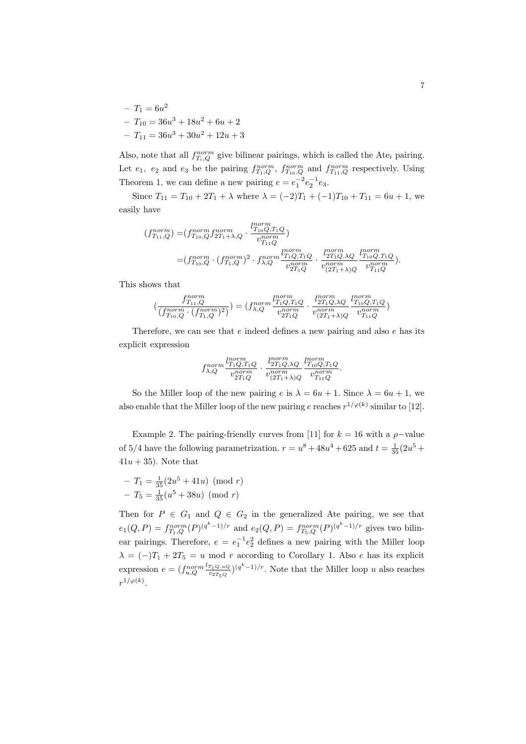$-T_1 = 6u^2$  $- T_{10} = 36u^3 + 18u^2 + 6u + 2$  $-T_{11} = 36u^3 + 30u^2 + 12u + 3$ 

Also, note that all  $f_{T_i,Q}^{norm}$  give bilinear pairings, which is called the Ate<sub>i</sub> pairing. Let  $e_1$ ,  $e_2$  and  $e_3$  be the pairing  $f_{T_1,Q}^{norm}$ ,  $f_{T_10,Q}^{norm}$  and  $f_{T_11,Q}^{norm}$  respectively. Using Theorem 1, we can define a new pairing  $e = e_1^{-2} e_2^{-1} e_3$ .

Since  $T_{11} = T_{10} + 2T_1 + \lambda$  where  $\lambda = (-2)T_1 + (-1)T_{10} + T_{11} = 6u + 1$ , we easily have

$$
(f_{T_{11},Q}^{norm}) = (f_{T_{10},Q}^{norm} f_{2T_1 + \lambda,Q}^{norm} \cdot \frac{l_{T_{10},Q,T_1Q}^{norm}}{v_{T_{11}}^{norm}})
$$
  
= 
$$
(f_{T_{10},Q}^{norm} \cdot (f_{T_1,Q}^{norm})^2 \cdot f_{\lambda,Q}^{norm} \frac{l_{T_1Q,T_1Q}^{norm}}{v_{2T_1Q}^{norm}} \cdot \frac{l_{2T_1Q,\lambda Q}^{norm}}{v_{2T_1 + \lambda/Q}^{norm}} \frac{l_{T_{10},Q,T_1Q}^{norm}}{v_{T_{11},Q}^{norm}}).
$$

This shows that

$$
\big(\frac{f_{T_{11},Q}^{norm}}{(f_{T_{10},Q}^{norm},(f_{T_1,Q}^{norm})^2)}\big) = \big(f_{\lambda,Q}^{norm} \frac{l_{T_1Q,T_1Q}^{norm}}{v_{2T_1Q}^{norm}} \cdot \frac{l_{2T_1Q,\lambda Q}^{norm}}{v_{(2T_1+\lambda)Q}^{norm}} \frac{l_{T_{10}Q,T_1Q}^{norm}}{v_{T_{11}Q}^{norm}}\big)
$$

Therefore, we can see that  $e$  indeed defines a new pairing and also  $e$  has its explicit expression

$$
f_{\lambda,Q}^{norm} \frac{l_{T_1Q,T_1Q}^{norm}}{v_{2T_1Q}^{norm}} \cdot \frac{l_{2T_1Q,\lambda Q}^{norm}}{v_{(2T_1+\lambda)Q}^{norm}} \frac{l_{T_{10}Q,T_1Q}^{norm}}{v_{T_{11}Q}^{norm}}.
$$

So the Miller loop of the new pairing e is  $\lambda = 6u + 1$ . Since  $\lambda = 6u + 1$ , we also enable that the Miller loop of the new pairing e reaches  $r^{1/\varphi(k)}$  similar to [12].

Example 2. The pairing-friendly curves from [11] for  $k = 16$  with a  $\rho$ -value of 5/4 have the following parametrization.  $r = u^8 + 48u^4 + 625$  and  $t = \frac{1}{35}(2u^5 +$  $41u + 35$ ). Note that

$$
-T_1 = \frac{1}{35}(2u^5 + 41u) \pmod{r}
$$

$$
-T_5 = \frac{1}{35}(u^5 + 38u) \pmod{r}
$$

Then for  $P \in G_1$  and  $Q \in G_2$  in the generalized Ate pairing, we see that  $e_1(Q, P) = f_{T_1, Q}^{norm}(P)^{(q^k-1)/r}$  and  $e_2(Q, P) = f_{T_5, Q}^{norm}(P)^{(q^k-1)/r}$  gives two bilinear pairings. Therefore,  $e = e_1^{-1}e_2^2$  defines a new pairing with the Miller loop  $\lambda = (-)T_1 + 2T_5 = u \mod r$  according to Corollary 1. Also e has its explicit expression  $e = \left(f_{u,Q}^{norm} \frac{l_{T_1Q,uQ}}{v_{2T_5Q}}\right)$  $\frac{T_1 Q, uQ}{v_2 T_5 Q}$  $\left(q^k-1\right)/r$ . Note that the Miller loop u also reaches  $r^{1/\varphi(k)}.$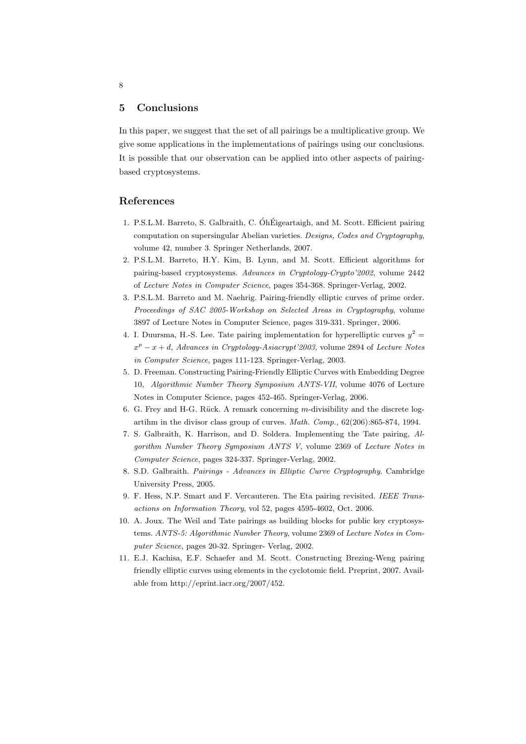## 5 Conclusions

In this paper, we suggest that the set of all pairings be a multiplicative group. We give some applications in the implementations of pairings using our conclusions. It is possible that our observation can be applied into other aspects of pairingbased cryptosystems.

## References

- 1. P.S.L.M. Barreto, S. Galbraith, C. ÓhÉigeartaigh, and M. Scott. Efficient pairing computation on supersingular Abelian varieties. Designs, Codes and Cryptography, volume 42, number 3. Springer Netherlands, 2007.
- 2. P.S.L.M. Barreto, H.Y. Kim, B. Lynn, and M. Scott. Efficient algorithms for pairing-based cryptosystems. Advances in Cryptology-Crypto'2002, volume 2442 of Lecture Notes in Computer Science, pages 354-368. Springer-Verlag, 2002.
- 3. P.S.L.M. Barreto and M. Naehrig. Pairing-friendly elliptic curves of prime order. Proceedings of SAC 2005-Workshop on Selected Areas in Cryptography, volume 3897 of Lecture Notes in Computer Science, pages 319-331. Springer, 2006.
- 4. I. Duursma, H.-S. Lee. Tate pairing implementation for hyperelliptic curves  $y^2 =$  $x^p - x + d$ , Advances in Cryptology-Asiacrypt'2003, volume 2894 of Lecture Notes in Computer Science, pages 111-123. Springer-Verlag, 2003.
- 5. D. Freeman. Constructing Pairing-Friendly Elliptic Curves with Embedding Degree 10, Algorithmic Number Theory Symposium ANTS-VII, volume 4076 of Lecture Notes in Computer Science, pages 452-465. Springer-Verlag, 2006.
- 6. G. Frey and H-G. Rück. A remark concerning  $m$ -divisibility and the discrete logartihm in the divisor class group of curves. Math. Comp., 62(206):865-874, 1994.
- 7. S. Galbraith, K. Harrison, and D. Soldera. Implementing the Tate pairing, Algorithm Number Theory Symposium ANTS V, volume 2369 of Lecture Notes in Computer Science, pages 324-337. Springer-Verlag, 2002.
- 8. S.D. Galbraith. Pairings Advances in Elliptic Curve Cryptography. Cambridge University Press, 2005.
- 9. F. Hess, N.P. Smart and F. Vercauteren. The Eta pairing revisited. IEEE Transactions on Information Theory, vol 52, pages 4595-4602, Oct. 2006.
- 10. A. Joux. The Weil and Tate pairings as building blocks for public key cryptosystems. ANTS-5: Algorithmic Number Theory, volume 2369 of Lecture Notes in Computer Science, pages 20-32. Springer- Verlag, 2002.
- 11. E.J. Kachisa, E.F. Schaefer and M. Scott. Constructing Brezing-Weng pairing friendly elliptic curves using elements in the cyclotomic field. Preprint, 2007. Available from http://eprint.iacr.org/2007/452.

8